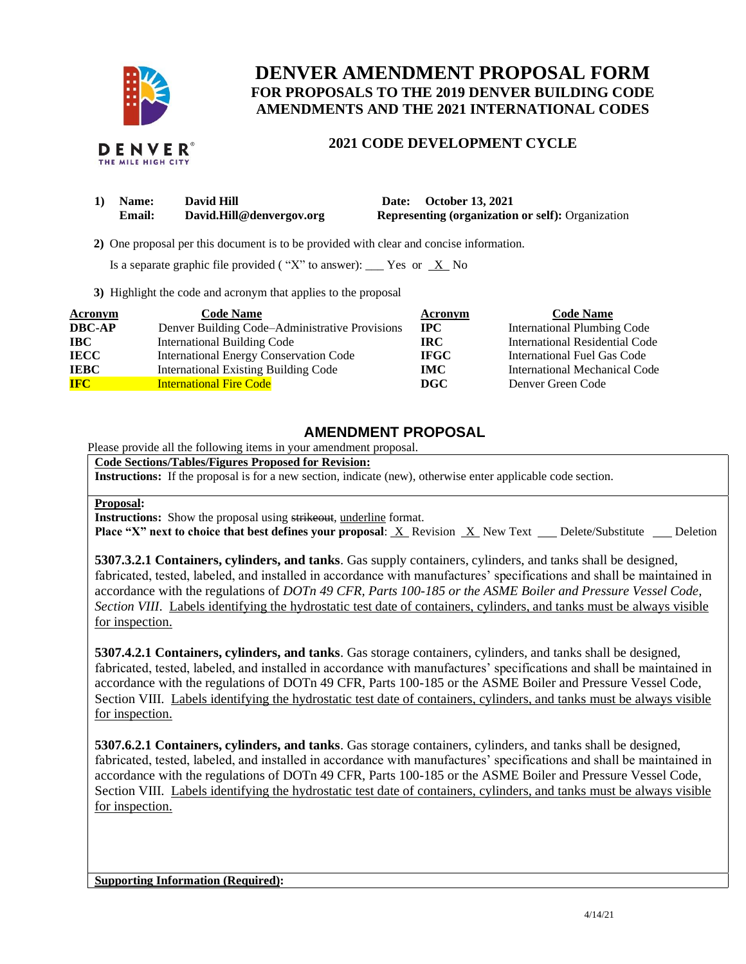

## **DENVER AMENDMENT PROPOSAL FORM FOR PROPOSALS TO THE 2019 DENVER BUILDING CODE AMENDMENTS AND THE 2021 INTERNATIONAL CODES**

## **2021 CODE DEVELOPMENT CYCLE**

| Name:         | <b>David Hill</b>        | Date: October 13, 2021                                   |
|---------------|--------------------------|----------------------------------------------------------|
| <b>Email:</b> | David.Hill@denvergov.org | <b>Representing (organization or self): Organization</b> |

 **2)** One proposal per this document is to be provided with clear and concise information.

Is a separate graphic file provided ("X" to answer): \_\_\_ Yes or  $X$  No

**3)** Highlight the code and acronym that applies to the proposal

| Acronym       | <b>Code Name</b>                               | Acronym      | <b>Code Name</b>                   |
|---------------|------------------------------------------------|--------------|------------------------------------|
| <b>DBC-AP</b> | Denver Building Code-Administrative Provisions | $_{\rm IPC}$ | <b>International Plumbing Code</b> |
| <b>IBC</b>    | <b>International Building Code</b>             | IRC-         | International Residential Code     |
| <b>IECC</b>   | International Energy Conservation Code         | <b>IFGC</b>  | International Fuel Gas Code        |
| <b>IEBC</b>   | <b>International Existing Building Code</b>    | <b>IMC</b>   | International Mechanical Code      |
| <b>IFC</b>    | <b>International Fire Code</b>                 | DGC          | Denver Green Code                  |

## **AMENDMENT PROPOSAL**

Please provide all the following items in your amendment proposal.

**Code Sections/Tables/Figures Proposed for Revision:**

**Instructions:** If the proposal is for a new section, indicate (new), otherwise enter applicable code section.

## **Proposal:**

**Instructions:** Show the proposal using strikeout, underline format.

**Place "X" next to choice that best defines your proposal:** X Revision X New Text Delete/Substitute Deletion

**5307.3.2.1 Containers, cylinders, and tanks**. Gas supply containers, cylinders, and tanks shall be designed, fabricated, tested, labeled, and installed in accordance with manufactures' specifications and shall be maintained in accordance with the regulations of *DOTn 49 CFR, Parts 100-185 or the ASME Boiler and Pressure Vessel Code, Section VIII*. Labels identifying the hydrostatic test date of containers, cylinders, and tanks must be always visible for inspection.

**5307.4.2.1 Containers, cylinders, and tanks**. Gas storage containers, cylinders, and tanks shall be designed, fabricated, tested, labeled, and installed in accordance with manufactures' specifications and shall be maintained in accordance with the regulations of DOTn 49 CFR, Parts 100-185 or the ASME Boiler and Pressure Vessel Code, Section VIII. Labels identifying the hydrostatic test date of containers, cylinders, and tanks must be always visible for inspection.

**5307.6.2.1 Containers, cylinders, and tanks**. Gas storage containers, cylinders, and tanks shall be designed, fabricated, tested, labeled, and installed in accordance with manufactures' specifications and shall be maintained in accordance with the regulations of DOTn 49 CFR, Parts 100-185 or the ASME Boiler and Pressure Vessel Code, Section VIII. Labels identifying the hydrostatic test date of containers, cylinders, and tanks must be always visible for inspection.

**Supporting Information (Required):**